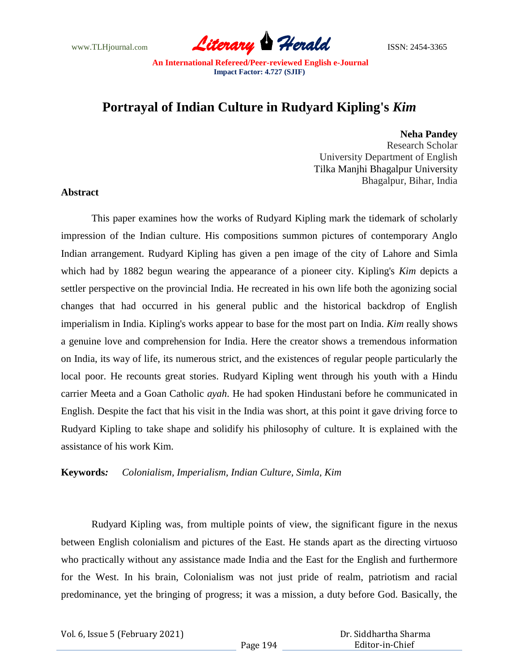www.TLHjournal.com **Literary Herald Herald ISSN: 2454-3365** 

# **Portrayal of Indian Culture in Rudyard Kipling's** *Kim*

**Neha Pandey** Research Scholar University Department of English Tilka Manjhi Bhagalpur University Bhagalpur, Bihar, India

### **Abstract**

This paper examines how the works of Rudyard Kipling mark the tidemark of scholarly impression of the Indian culture. His compositions summon pictures of contemporary Anglo Indian arrangement. Rudyard Kipling has given a pen image of the city of Lahore and Simla which had by 1882 begun wearing the appearance of a pioneer city. Kipling's *Kim* depicts a settler perspective on the provincial India. He recreated in his own life both the agonizing social changes that had occurred in his general public and the historical backdrop of English imperialism in India. Kipling's works appear to base for the most part on India. *Kim* really shows a genuine love and comprehension for India. Here the creator shows a tremendous information on India, its way of life, its numerous strict, and the existences of regular people particularly the local poor. He recounts great stories. Rudyard Kipling went through his youth with a Hindu carrier Meeta and a Goan Catholic *ayah*. He had spoken Hindustani before he communicated in English. Despite the fact that his visit in the India was short, at this point it gave driving force to Rudyard Kipling to take shape and solidify his philosophy of culture. It is explained with the assistance of his work Kim.

### **Keywords***: Colonialism, Imperialism, Indian Culture, Simla, Kim*

Rudyard Kipling was, from multiple points of view, the significant figure in the nexus between English colonialism and pictures of the East. He stands apart as the directing virtuoso who practically without any assistance made India and the East for the English and furthermore for the West. In his brain, Colonialism was not just pride of realm, patriotism and racial predominance, yet the bringing of progress; it was a mission, a duty before God. Basically, the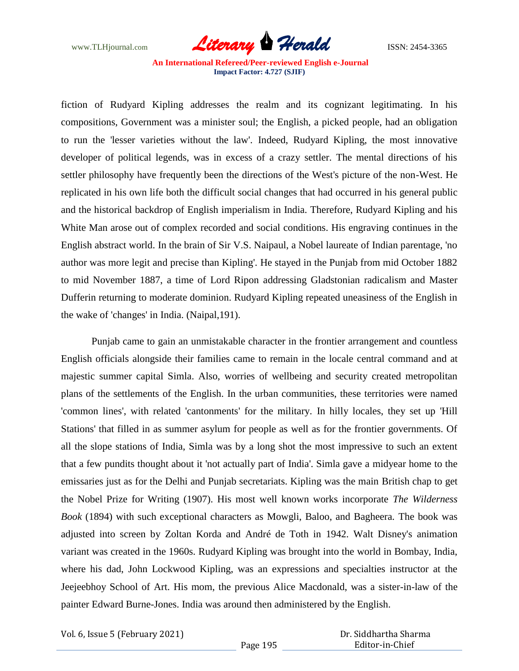

fiction of Rudyard Kipling addresses the realm and its cognizant legitimating. In his compositions, Government was a minister soul; the English, a picked people, had an obligation to run the 'lesser varieties without the law'. Indeed, Rudyard Kipling, the most innovative developer of political legends, was in excess of a crazy settler. The mental directions of his settler philosophy have frequently been the directions of the West's picture of the non-West. He replicated in his own life both the difficult social changes that had occurred in his general public and the historical backdrop of English imperialism in India. Therefore, Rudyard Kipling and his White Man arose out of complex recorded and social conditions. His engraving continues in the English abstract world. In the brain of Sir V.S. Naipaul, a Nobel laureate of Indian parentage, 'no author was more legit and precise than Kipling'. He stayed in the Punjab from mid October 1882 to mid November 1887, a time of Lord Ripon addressing Gladstonian radicalism and Master Dufferin returning to moderate dominion. Rudyard Kipling repeated uneasiness of the English in the wake of 'changes' in India. (Naipal,191).

Punjab came to gain an unmistakable character in the frontier arrangement and countless English officials alongside their families came to remain in the locale central command and at majestic summer capital Simla. Also, worries of wellbeing and security created metropolitan plans of the settlements of the English. In the urban communities, these territories were named 'common lines', with related 'cantonments' for the military. In hilly locales, they set up 'Hill Stations' that filled in as summer asylum for people as well as for the frontier governments. Of all the slope stations of India, Simla was by a long shot the most impressive to such an extent that a few pundits thought about it 'not actually part of India'. Simla gave a midyear home to the emissaries just as for the Delhi and Punjab secretariats. Kipling was the main British chap to get the Nobel Prize for Writing (1907). His most well known works incorporate *The Wilderness Book* (1894) with such exceptional characters as Mowgli, Baloo, and Bagheera. The book was adjusted into screen by Zoltan Korda and André de Toth in 1942. Walt Disney's animation variant was created in the 1960s. Rudyard Kipling was brought into the world in Bombay, India, where his dad, John Lockwood Kipling, was an expressions and specialties instructor at the Jeejeebhoy School of Art. His mom, the previous Alice Macdonald, was a sister-in-law of the painter Edward Burne-Jones. India was around then administered by the English.

Vol. 6, Issue 5 (February 2021)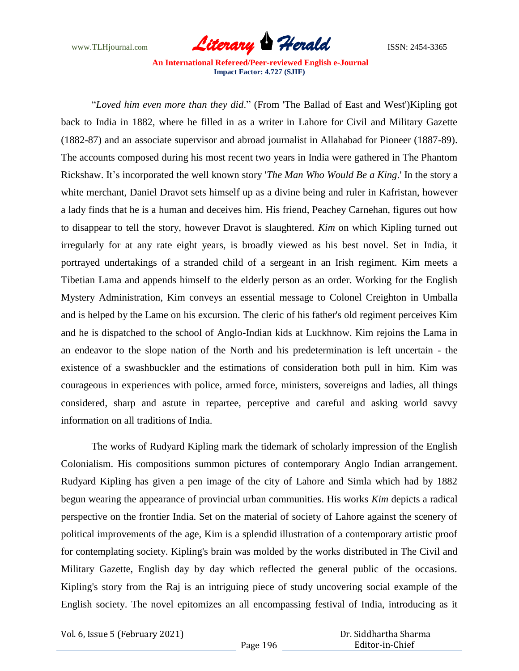

"*Loved him even more than they did*." (From 'The Ballad of East and West')Kipling got back to India in 1882, where he filled in as a writer in Lahore for Civil and Military Gazette (1882-87) and an associate supervisor and abroad journalist in Allahabad for Pioneer (1887-89). The accounts composed during his most recent two years in India were gathered in The Phantom Rickshaw. It's incorporated the well known story '*The Man Who Would Be a King*.' In the story a white merchant, Daniel Dravot sets himself up as a divine being and ruler in Kafristan, however a lady finds that he is a human and deceives him. His friend, Peachey Carnehan, figures out how to disappear to tell the story, however Dravot is slaughtered. *Kim* on which Kipling turned out irregularly for at any rate eight years, is broadly viewed as his best novel. Set in India, it portrayed undertakings of a stranded child of a sergeant in an Irish regiment. Kim meets a Tibetian Lama and appends himself to the elderly person as an order. Working for the English Mystery Administration, Kim conveys an essential message to Colonel Creighton in Umballa and is helped by the Lame on his excursion. The cleric of his father's old regiment perceives Kim and he is dispatched to the school of Anglo-Indian kids at Luckhnow. Kim rejoins the Lama in an endeavor to the slope nation of the North and his predetermination is left uncertain - the existence of a swashbuckler and the estimations of consideration both pull in him. Kim was courageous in experiences with police, armed force, ministers, sovereigns and ladies, all things considered, sharp and astute in repartee, perceptive and careful and asking world savvy information on all traditions of India.

The works of Rudyard Kipling mark the tidemark of scholarly impression of the English Colonialism. His compositions summon pictures of contemporary Anglo Indian arrangement. Rudyard Kipling has given a pen image of the city of Lahore and Simla which had by 1882 begun wearing the appearance of provincial urban communities. His works *Kim* depicts a radical perspective on the frontier India. Set on the material of society of Lahore against the scenery of political improvements of the age, Kim is a splendid illustration of a contemporary artistic proof for contemplating society. Kipling's brain was molded by the works distributed in The Civil and Military Gazette, English day by day which reflected the general public of the occasions. Kipling's story from the Raj is an intriguing piece of study uncovering social example of the English society. The novel epitomizes an all encompassing festival of India, introducing as it

Vol. 6, Issue 5 (February 2021)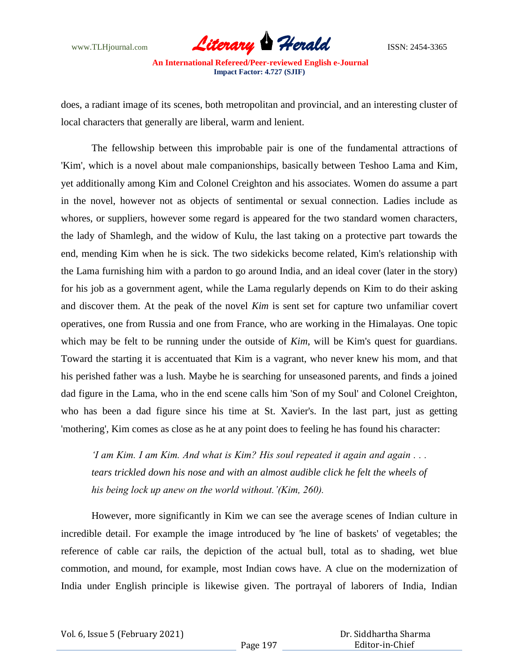

does, a radiant image of its scenes, both metropolitan and provincial, and an interesting cluster of local characters that generally are liberal, warm and lenient.

The fellowship between this improbable pair is one of the fundamental attractions of 'Kim', which is a novel about male companionships, basically between Teshoo Lama and Kim, yet additionally among Kim and Colonel Creighton and his associates. Women do assume a part in the novel, however not as objects of sentimental or sexual connection. Ladies include as whores, or suppliers, however some regard is appeared for the two standard women characters, the lady of Shamlegh, and the widow of Kulu, the last taking on a protective part towards the end, mending Kim when he is sick. The two sidekicks become related, Kim's relationship with the Lama furnishing him with a pardon to go around India, and an ideal cover (later in the story) for his job as a government agent, while the Lama regularly depends on Kim to do their asking and discover them. At the peak of the novel *Kim* is sent set for capture two unfamiliar covert operatives, one from Russia and one from France, who are working in the Himalayas. One topic which may be felt to be running under the outside of *Kim*, will be *Kim's* quest for guardians. Toward the starting it is accentuated that Kim is a vagrant, who never knew his mom, and that his perished father was a lush. Maybe he is searching for unseasoned parents, and finds a joined dad figure in the Lama, who in the end scene calls him 'Son of my Soul' and Colonel Creighton, who has been a dad figure since his time at St. Xavier's. In the last part, just as getting 'mothering', Kim comes as close as he at any point does to feeling he has found his character:

*'I am Kim. I am Kim. And what is Kim? His soul repeated it again and again . . .*  tears trickled down his nose and with an almost audible click he felt the wheels of *his being lock up anew on the world without.'(Kim, 260).*

However, more significantly in Kim we can see the average scenes of Indian culture in incredible detail. For example the image introduced by 'he line of baskets' of vegetables; the reference of cable car rails, the depiction of the actual bull, total as to shading, wet blue commotion, and mound, for example, most Indian cows have. A clue on the modernization of India under English principle is likewise given. The portrayal of laborers of India, Indian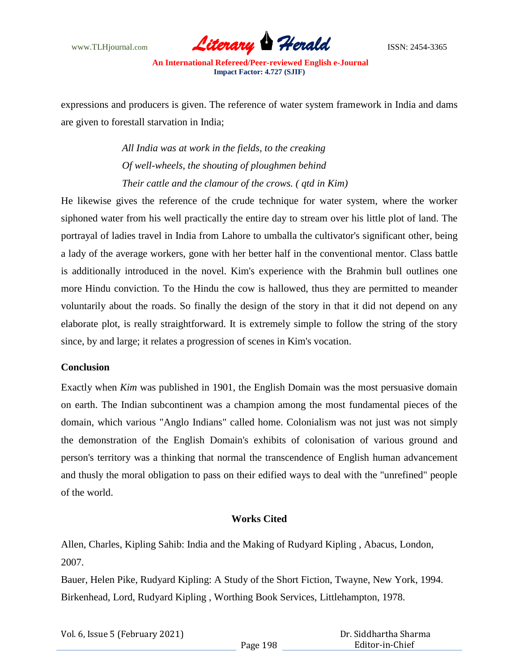

expressions and producers is given. The reference of water system framework in India and dams are given to forestall starvation in India;

> *All India was at work in the fields, to the creaking Of well-wheels, the shouting of ploughmen behind Their cattle and the clamour of the crows. ( qtd in Kim)*

He likewise gives the reference of the crude technique for water system, where the worker siphoned water from his well practically the entire day to stream over his little plot of land. The portrayal of ladies travel in India from Lahore to umballa the cultivator's significant other, being a lady of the average workers, gone with her better half in the conventional mentor. Class battle is additionally introduced in the novel. Kim's experience with the Brahmin bull outlines one more Hindu conviction. To the Hindu the cow is hallowed, thus they are permitted to meander voluntarily about the roads. So finally the design of the story in that it did not depend on any elaborate plot, is really straightforward. It is extremely simple to follow the string of the story since, by and large; it relates a progression of scenes in Kim's vocation.

### **Conclusion**

Exactly when *Kim* was published in 1901, the English Domain was the most persuasive domain on earth. The Indian subcontinent was a champion among the most fundamental pieces of the domain, which various "Anglo Indians" called home. Colonialism was not just was not simply the demonstration of the English Domain's exhibits of colonisation of various ground and person's territory was a thinking that normal the transcendence of English human advancement and thusly the moral obligation to pass on their edified ways to deal with the "unrefined" people of the world.

## **Works Cited**

Allen, Charles, Kipling Sahib: India and the Making of Rudyard Kipling , Abacus, London, 2007.

Bauer, Helen Pike, Rudyard Kipling: A Study of the Short Fiction, Twayne, New York, 1994. Birkenhead, Lord, Rudyard Kipling , Worthing Book Services, Littlehampton, 1978.

> Dr. Siddhartha Sharma Editor-in-Chief

| Vol. 6, Issue 5 (February 2021) |          |  |
|---------------------------------|----------|--|
|                                 | Page 198 |  |